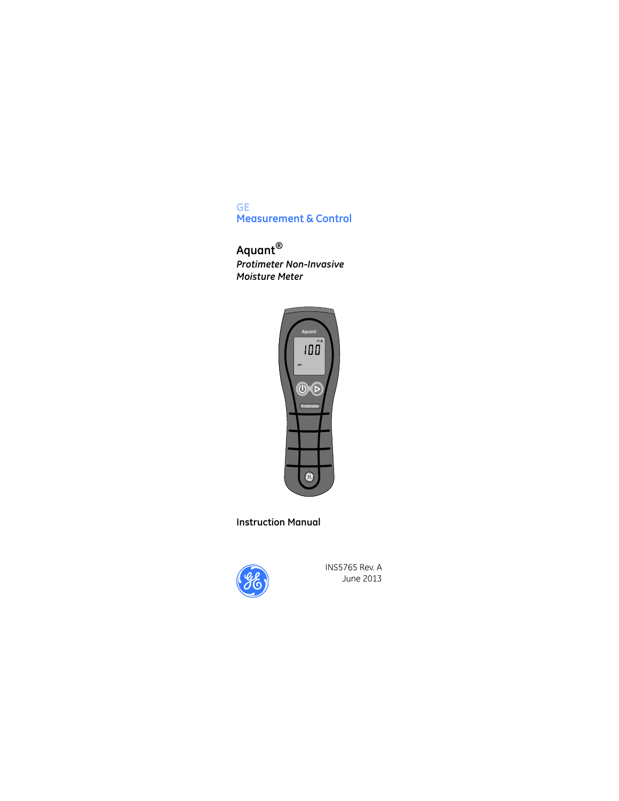### **GE Measurement & Control**

# **Aquant®** *Protimeter Non-Invasive Moisture Meter*



## **Instruction Manual**



INS5765 Rev. A June 2013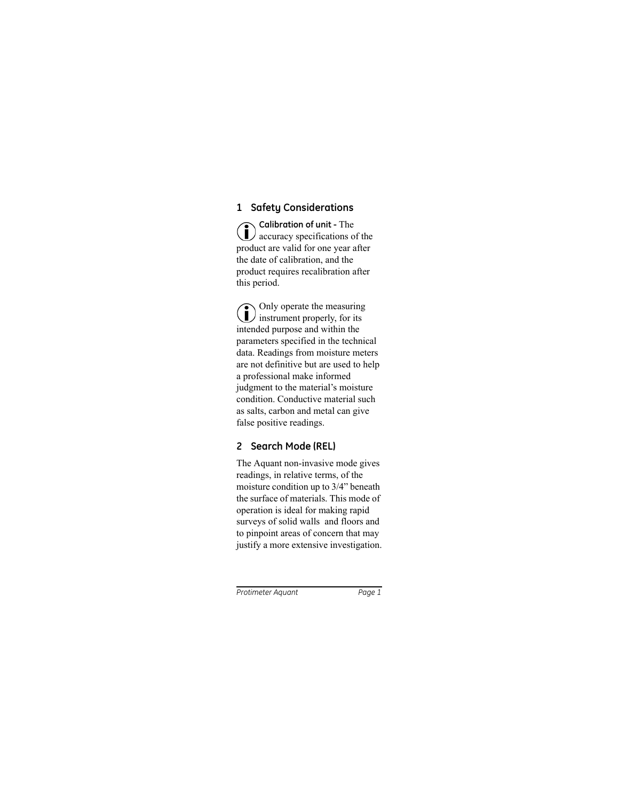# **1 Safety Considerations**

**Calibration of unit -** The accuracy specifications of the product are valid for one year after the date of calibration, and the product requires recalibration after this period.

Only operate the measuring **instrument properly, for its** intended purpose and within the parameters specified in the technical data. Readings from moisture meters are not definitive but are used to help a professional make informed judgment to the material's moisture condition. Conductive material such as salts, carbon and metal can give false positive readings.

# **2 Search Mode (REL)**

The Aquant non-invasive mode gives readings, in relative terms, of the moisture condition up to 3/4" beneath the surface of materials. This mode of operation is ideal for making rapid surveys of solid walls and floors and to pinpoint areas of concern that may justify a more extensive investigation.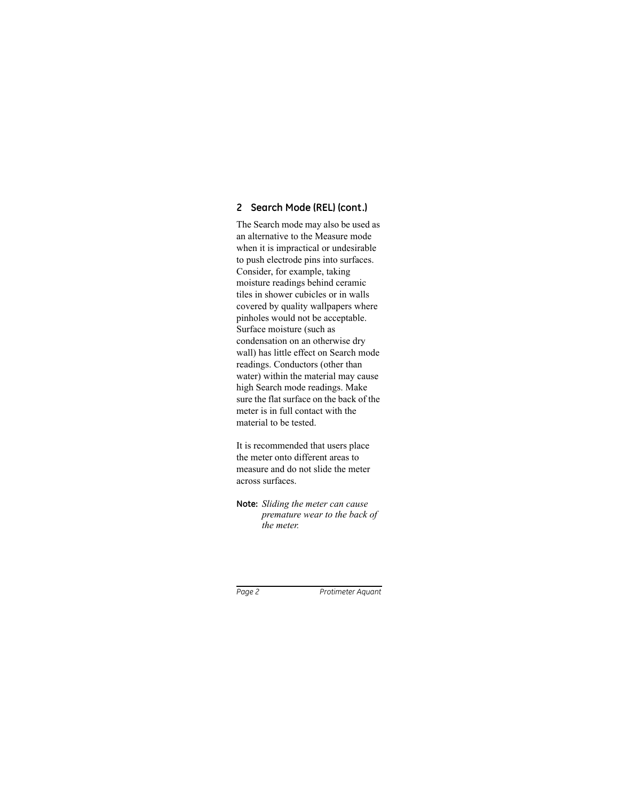# **2 Search Mode (REL) (cont.)**

The Search mode may also be used as an alternative to the Measure mode when it is impractical or undesirable to push electrode pins into surfaces. Consider, for example, taking moisture readings behind ceramic tiles in shower cubicles or in walls covered by quality wallpapers where pinholes would not be acceptable. Surface moisture (such as condensation on an otherwise dry wall) has little effect on Search mode readings. Conductors (other than water) within the material may cause high Search mode readings. Make sure the flat surface on the back of the meter is in full contact with the material to be tested.

It is recommended that users place the meter onto different areas to measure and do not slide the meter across surfaces.

#### **Note:** *Sliding the meter can cause premature wear to the back of the meter.*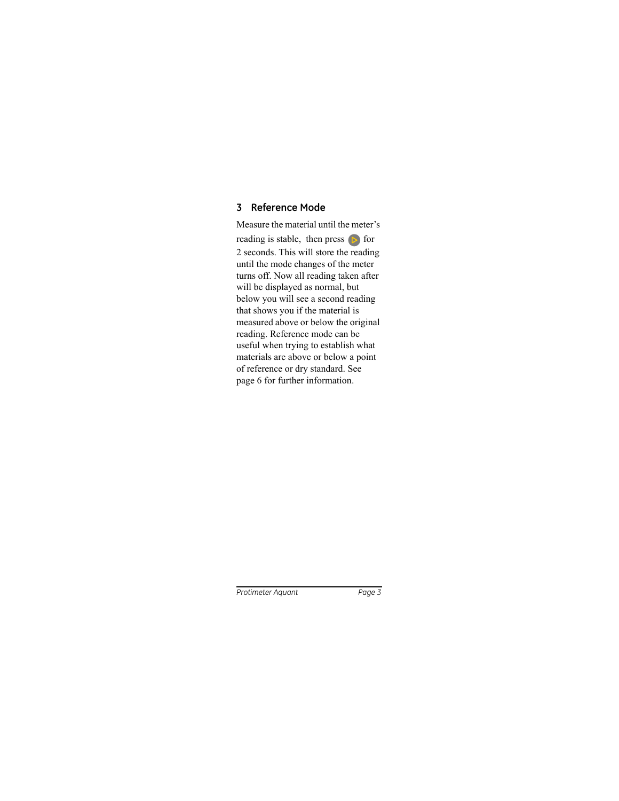# **3 Reference Mode**

Measure the material until the meter's reading is stable, then press  $\triangleright$  for 2 seconds. This will store the reading until the mode changes of the meter turns off. Now all reading taken after will be displayed as normal, but below you will see a second reading that shows you if the material is measured above or below the original reading. Reference mode can be useful when trying to establish what materials are above or below a point of reference or dry standard. See page 6 for further information.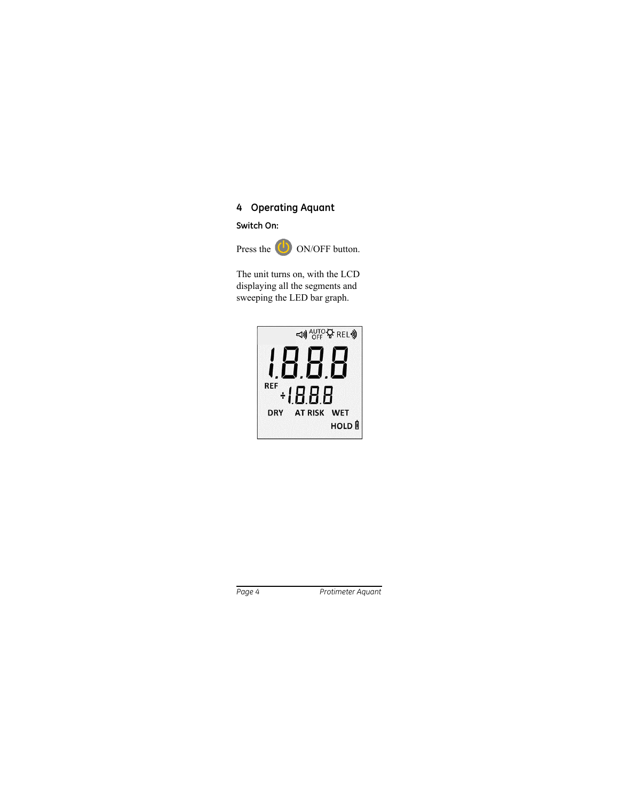## **4 Operating Aquant**

**Switch On:**



The unit turns on, with the LCD displaying all the segments and sweeping the LED bar graph.

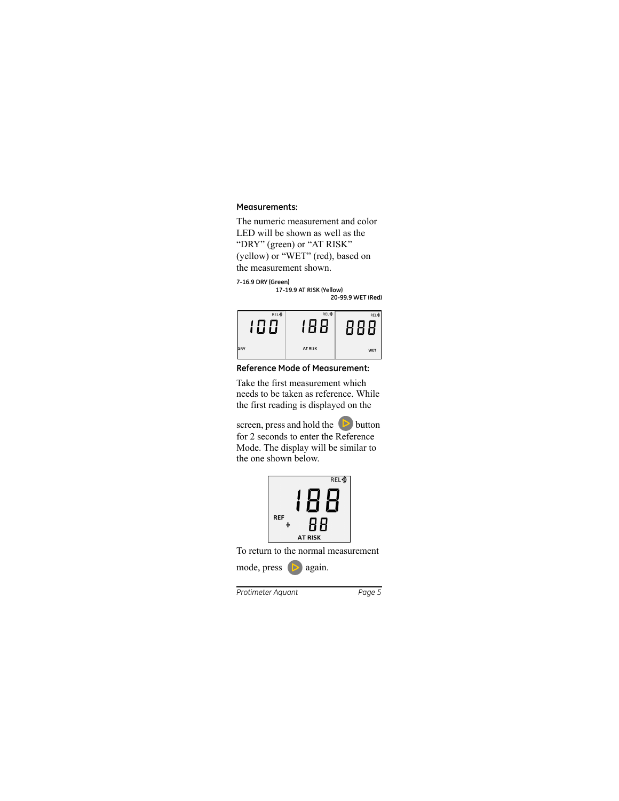#### **Measurements:**

The numeric measurement and color LED will be shown as well as the "DRY" (green) or "AT RISK" (yellow) or "WET" (red), based on the measurement shown.

```
7-16.9 DRY (Green)
```

```
17-19.9 AT RISK (Yellow)
```
**20-99.9 WET (Red)**



**Reference Mode of Measurement:**

Take the first measurement which needs to be taken as reference. While the first reading is displayed on the

screen, press and hold the  $\triangleright$  button for 2 seconds to enter the Reference Mode. The display will be similar to the one shown below.



To return to the normal measurement

mode, press  $\left( \right)$  again.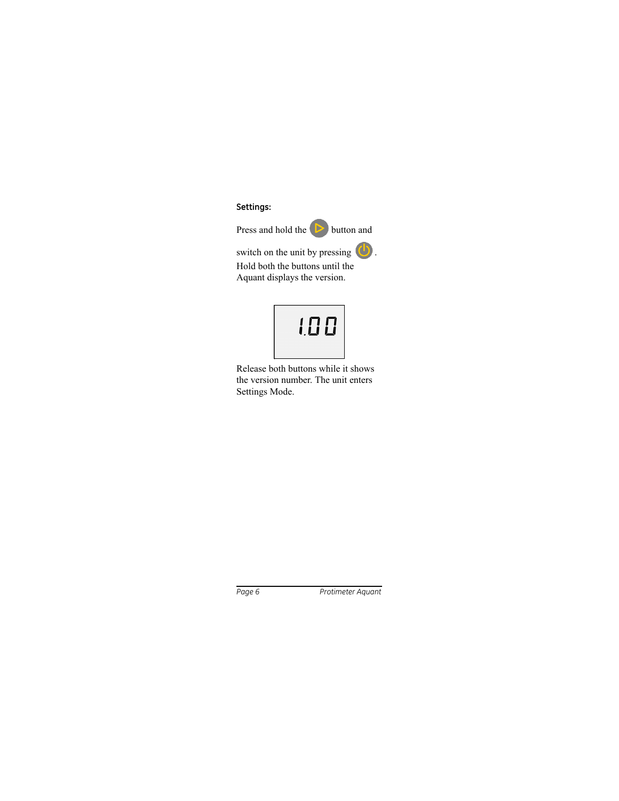**Settings:**

Press and hold the  $\triangleright$  button and

switch on the unit by pressing . Hold both the buttons until the Aquant displays the version.



Release both buttons while it shows the version number. The unit enters Settings Mode.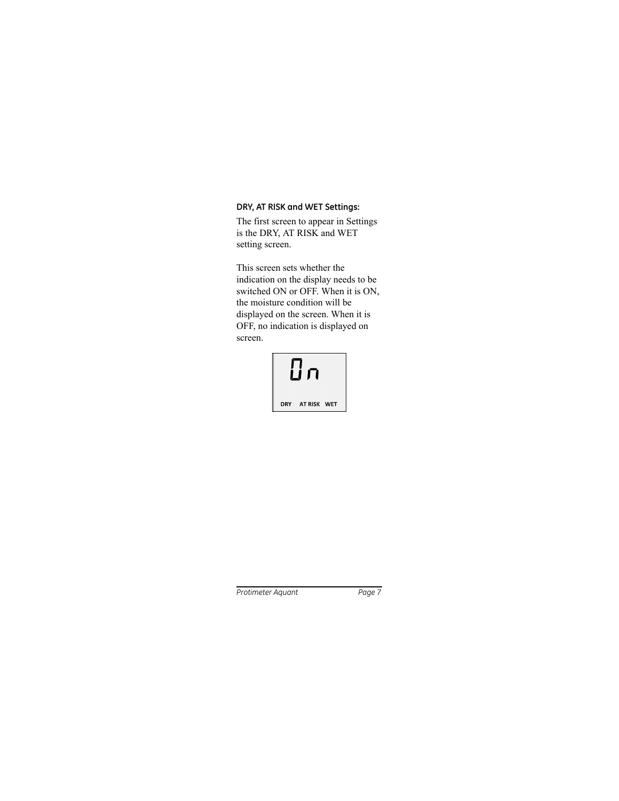## **DRY, AT RISK and WET Settings:**

The first screen to appear in Settings is the DRY, AT RISK and WET setting screen.

This screen sets whether the indication on the display needs to be switched ON or OFF. When it is ON, the moisture condition will be displayed on the screen. When it is OFF, no indication is displayed on screen.

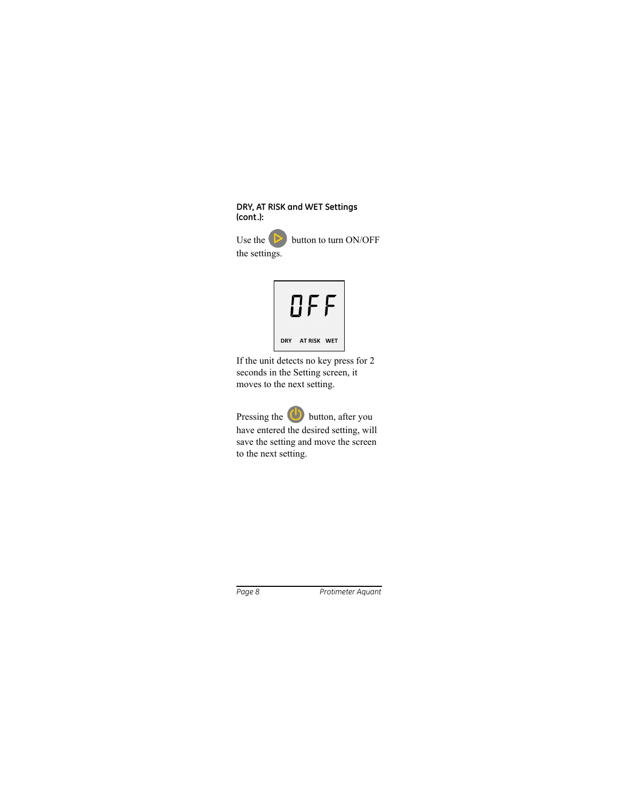### **DRY, AT RISK and WET Settings (cont.):**

Use the  $\triangleright$  button to turn ON/OFF the settings.



If the unit detects no key press for 2 seconds in the Setting screen, it moves to the next setting.

Pressing the **button**, after you have entered the desired setting, will save the setting and move the screen to the next setting.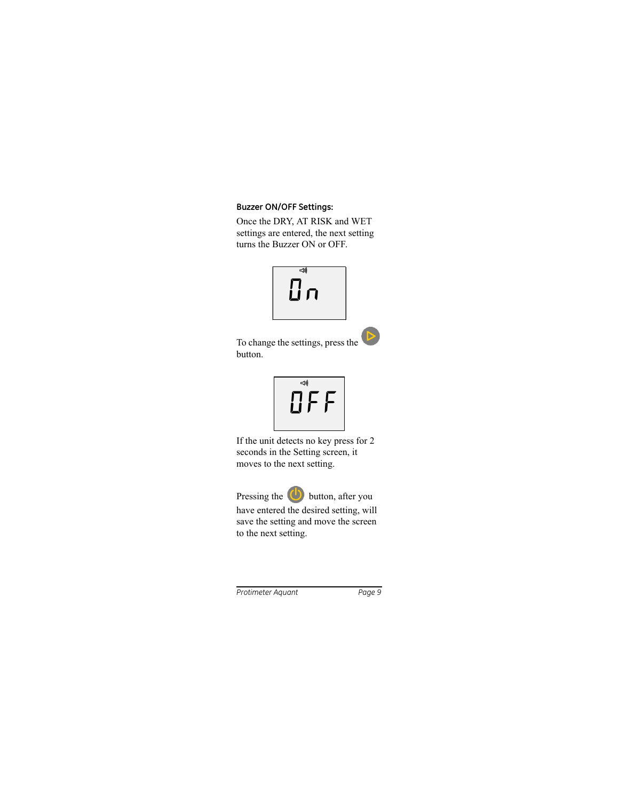### **Buzzer ON/OFF Settings:**

Once the DRY, AT RISK and WET settings are entered, the next setting turns the Buzzer ON or OFF.





To change the settings, press the button.



If the unit detects no key press for 2 seconds in the Setting screen, it moves to the next setting.

Pressing the  $\bigcirc$  button, after you have entered the desired setting, will save the setting and move the screen to the next setting.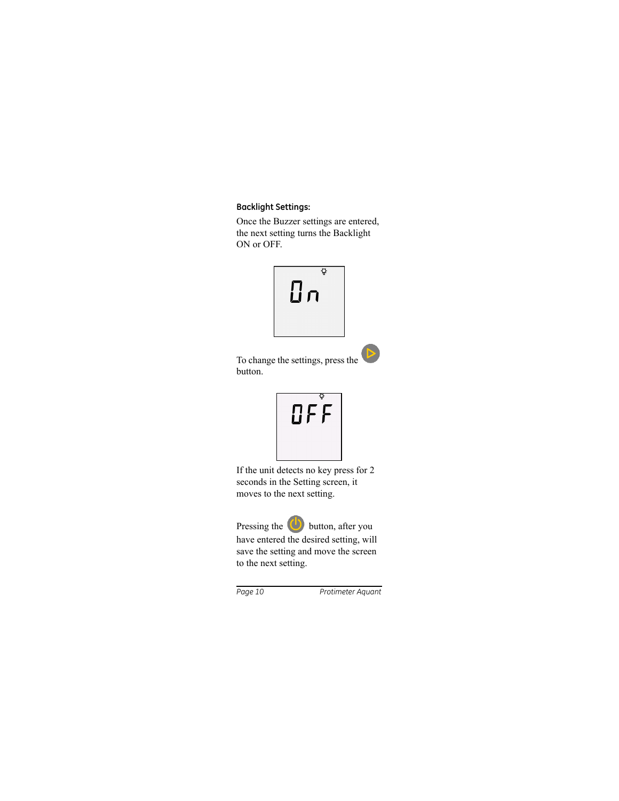## **Backlight Settings:**

Once the Buzzer settings are entered, the next setting turns the Backlight ON or OFF.





To change the settings, press the button.



If the unit detects no key press for 2 seconds in the Setting screen, it moves to the next setting.

Pressing the **button**, after you have entered the desired setting, will save the setting and move the screen to the next setting.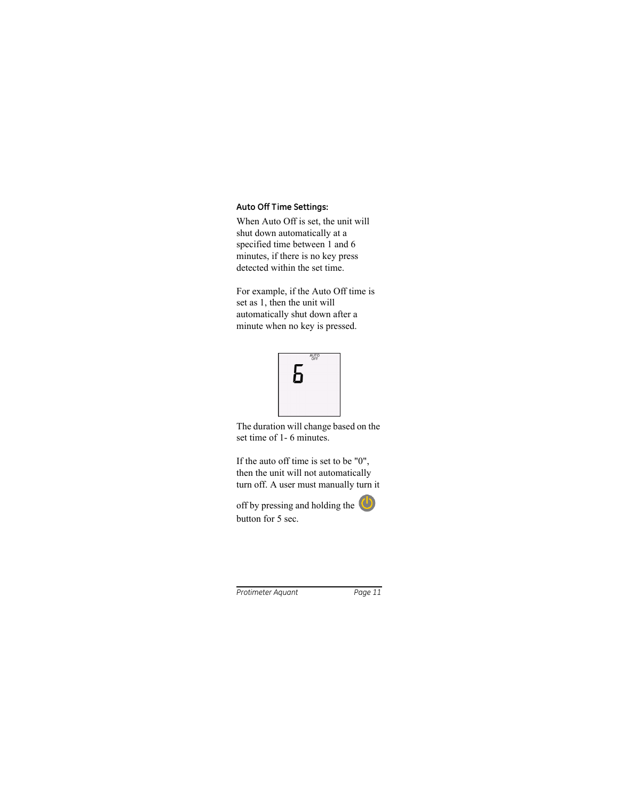## **Auto Off Time Settings:**

When Auto Off is set, the unit will shut down automatically at a specified time between 1 and 6 minutes, if there is no key press detected within the set time.

For example, if the Auto Off time is set as 1, then the unit will automatically shut down after a minute when no key is pressed.



The duration will change based on the set time of 1- 6 minutes.

If the auto off time is set to be "0", then the unit will not automatically turn off. A user must manually turn it

off by pressing and holding the button for 5 sec.

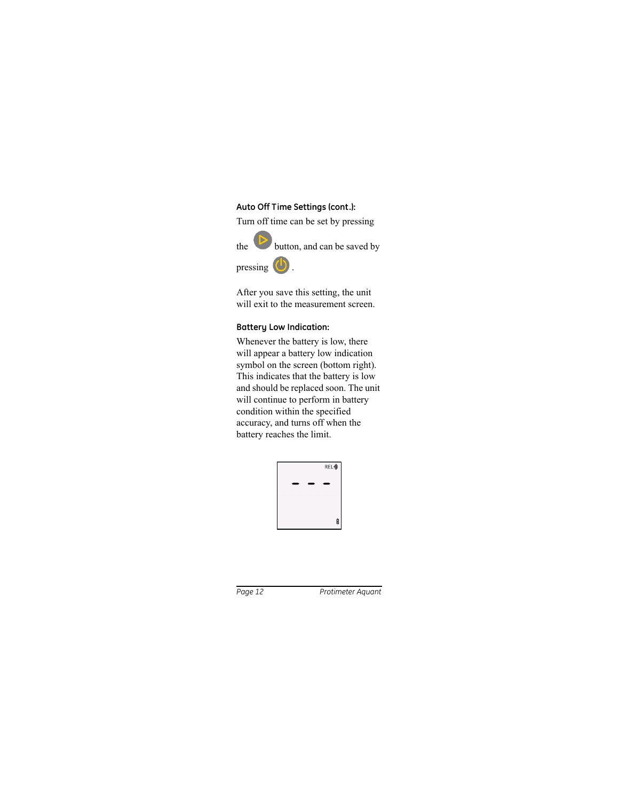## **Auto Off Time Settings (cont.):**

Turn off time can be set by pressing



the button, and can be saved by

pressing  $\bigcirc$ .



After you save this setting, the unit will exit to the measurement screen.

## **Battery Low Indication:**

Whenever the battery is low, there will appear a battery low indication symbol on the screen (bottom right). This indicates that the battery is low and should be replaced soon. The unit will continue to perform in battery condition within the specified accuracy, and turns off when the battery reaches the limit.

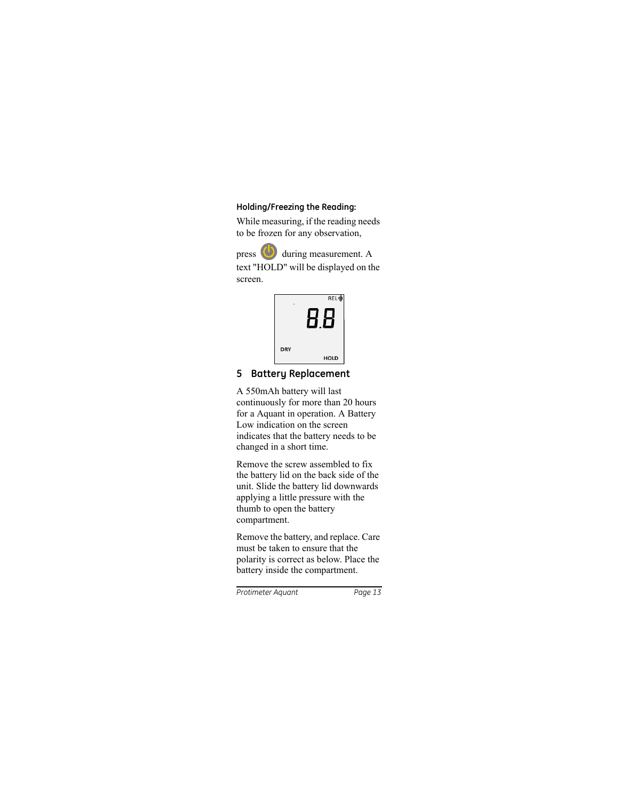## **Holding/Freezing the Reading:**

While measuring, if the reading needs to be frozen for any observation,

press  $\bigcirc$  during measurement. A text "HOLD" will be displayed on the screen.



# **5 Battery Replacement**

A 550mAh battery will last continuously for more than 20 hours for a Aquant in operation. A Battery Low indication on the screen indicates that the battery needs to be changed in a short time.

Remove the screw assembled to fix the battery lid on the back side of the unit. Slide the battery lid downwards applying a little pressure with the thumb to open the battery compartment.

Remove the battery, and replace. Care must be taken to ensure that the polarity is correct as below. Place the battery inside the compartment.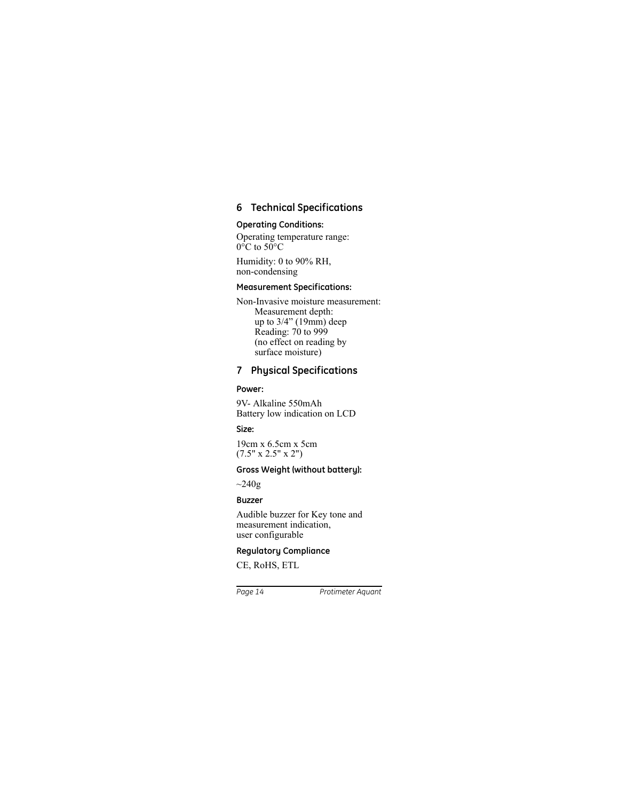# **6 Technical Specifications**

## **Operating Conditions:**

Operating temperature range:  $0^{\circ}$ C to 50 $^{\circ}$ C

Humidity: 0 to 90% RH, non-condensing

### **Measurement Specifications:**

Non-Invasive moisture measurement: Measurement depth: up to 3/4" (19mm) deep Reading: 70 to 999 (no effect on reading by surface moisture)

## **7 Physical Specifications**

### **Power:**

9V- Alkaline 550mAh Battery low indication on LCD

### **Size:**

19cm x 6.5cm x 5cm  $(7.5" \times 2.5" \times 2")$ 

### **Gross Weight (without battery):**

 $\sim$ 240g

### **Buzzer**

Audible buzzer for Key tone and measurement indication, user configurable

## **Regulatory Compliance**

CE, RoHS, ETL